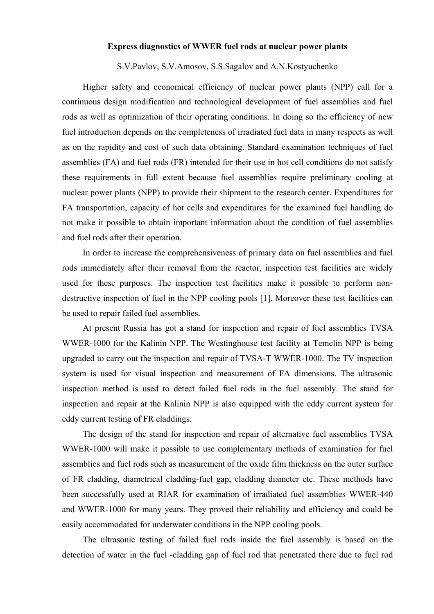## **Express diagnostics of WWER fuel rods at nuclear power plants**

## S.V.Pavlov, S.V.Amosov, S.S.Sagalov and A.N.Kostyuchenko

Higher safety and economical efficiency of nuclear power plants (NPP) call for a continuous design modification and technological development of fuel assemblies and fuel rods as well as optimization of their operating conditions. In doing so the efficiency of new fuel introduction depends on the completeness of irradiated fuel data in many respects as well as on the rapidity and cost of such data obtaining. Standard examination techniques of fuel assemblies (FA) and fuel rods (FR) intended for their use in hot cell conditions do not satisfy these requirements in full extent because fuel assemblies require preliminary cooling at nuclear power plants (NPP) to provide their shipment to the research center. Expenditures for FA transportation, capacity of hot cells and expenditures for the examined fuel handling do not make it possible to obtain important information about the condition of fuel assemblies and fuel rods after their operation.

In order to increase the comprehensiveness of primary data on fuel assemblies and fuel rods immediately after their removal from the reactor, inspection test facilities are widely used for these purposes. The inspection test facilities make it possible to perform nondestructive inspection of fuel in the NPP cooling pools [1]. Moreover these test facilities can be used to repair failed fuel assemblies.

At present Russia has got a stand for inspection and repair of fuel assemblies TVSA WWER-1000 for the Kalinin NPP. The Westinghouse test facility at Temelin NPP is being upgraded to carry out the inspection and repair of TVSA-T WWER-1000. The TV inspection system is used for visual inspection and measurement of FA dimensions. The ultrasonic inspection method is used to detect failed fuel rods in the fuel assembly. The stand for inspection and repair at the Kalinin NPP is also equipped with the eddy current system for eddy current testing of FR claddings.

The design of the stand for inspection and repair of alternative fuel assemblies TVSA WWER-1000 will make it possible to use complementary methods of examination for fuel assemblies and fuel rods such as measurement of the oxide film thickness on the outer surface of FR cladding, diametrical cladding-fuel gap, cladding diameter etc. These methods have been successfully used at RIAR for examination of irradiated fuel assemblies WWER-440 and WWER-1000 for many years. They proved their reliability and efficiency and could be easily accommodated for underwater conditions in the NPP cooling pools.

The ultrasonic testing of failed fuel rods inside the fuel assembly is based on the detection of water in the fuel -cladding gap of fuel rod that penetrated there due to fuel rod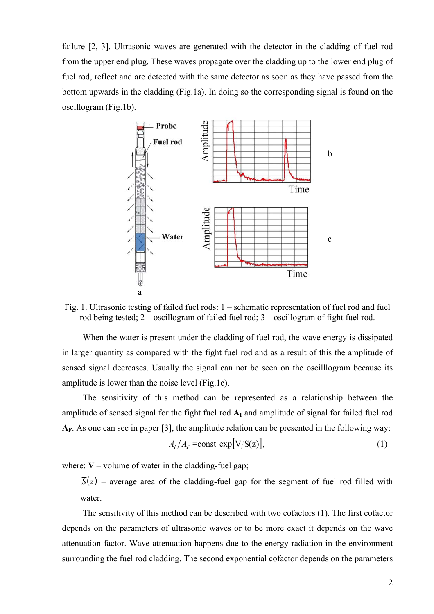failure [2, 3]. Ultrasonic waves are generated with the detector in the cladding of fuel rod from the upper end plug. These waves propagate over the cladding up to the lower end plug of fuel rod, reflect and are detected with the same detector as soon as they have passed from the bottom upwards in the cladding (Fig.1a). In doing so the corresponding signal is found on the oscillogram (Fig.1b).



Fig. 1. Ultrasonic testing of failed fuel rods: 1 – schematic representation of fuel rod and fuel rod being tested; 2 – oscillogram of failed fuel rod; 3 – oscillogram of fight fuel rod.

When the water is present under the cladding of fuel rod, the wave energy is dissipated in larger quantity as compared with the fight fuel rod and as a result of this the amplitude of sensed signal decreases. Usually the signal can not be seen on the oscilllogram because its amplitude is lower than the noise level (Fig.1c).

The sensitivity of this method can be represented as a relationship between the amplitude of sensed signal for the fight fuel rod  $A<sub>I</sub>$  and amplitude of signal for failed fuel rod **АF**. As one can see in paper [3], the amplitude relation can be presented in the following way:

$$
A_I/A_F = \text{const} \, \exp[\text{V}/\overline{\text{S}}(z)],\tag{1}
$$

where:  $V$  – volume of water in the cladding-fuel gap;

 $\overline{S}(z)$  – average area of the cladding-fuel gap for the segment of fuel rod filled with water.

The sensitivity of this method can be described with two cofactors (1). The first cofactor depends on the parameters of ultrasonic waves or to be more exact it depends on the wave attenuation factor. Wave attenuation happens due to the energy radiation in the environment surrounding the fuel rod cladding. The second exponential cofactor depends on the parameters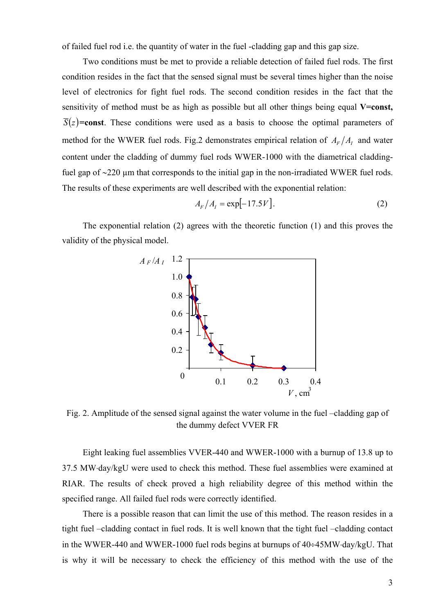of failed fuel rod i.e. the quantity of water in the fuel -cladding gap and this gap size.

Two conditions must be met to provide a reliable detection of failed fuel rods. The first condition resides in the fact that the sensed signal must be several times higher than the noise level of electronics for fight fuel rods. The second condition resides in the fact that the sensitivity of method must be as high as possible but all other things being equal **V=const**,  $\overline{S}(z)$ =const. These conditions were used as a basis to choose the optimal parameters of method for the WWER fuel rods. Fig.2 demonstrates empirical relation of  $A_F/A_I$  and water content under the cladding of dummy fuel rods WWER-1000 with the diametrical claddingfuel gap of ∼220 µm that corresponds to the initial gap in the non-irradiated WWER fuel rods. The results of these experiments are well described with the exponential relation:

$$
A_F / A_I = \exp[-17.5 V].
$$
 (2)

The exponential relation (2) agrees with the theoretic function (1) and this proves the validity of the physical model.



Fig. 2. Amplitude of the sensed signal against the water volume in the fuel –cladding gap of the dummy defect VVER FR

Eight leaking fuel assemblies VVER-440 and WWER-1000 with a burnup of 13.8 up to 37.5 MW⋅day/kgU were used to check this method. These fuel assemblies were examined at RIAR. The results of check proved a high reliability degree of this method within the specified range. All failed fuel rods were correctly identified.

There is a possible reason that can limit the use of this method. The reason resides in a tight fuel –cladding contact in fuel rods. It is well known that the tight fuel –cladding contact in the WWER-440 and WWER-1000 fuel rods begins at burnups of 40÷45MW⋅day/kgU. That is why it will be necessary to check the efficiency of this method with the use of the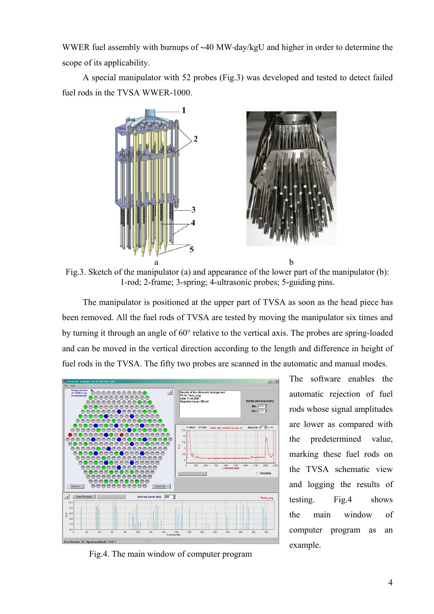WWER fuel assembly with burnups of ∼40 MW⋅day/kgU and higher in order to determine the scope of its applicability.

A special manipulator with 52 probes (Fig.3) was developed and tested to detect failed fuel rods in the TVSA WWER-1000.



Fig.3. Sketch of the manipulator (a) and appearance of the lower part of the manipulator (b): 1-rod; 2-frame; 3-spring; 4-ultrasonic probes; 5-guiding pins.

The manipulator is positioned at the upper part of TVSA as soon as the head piece has been removed. All the fuel rods of TVSA are tested by moving the manipulator six times and by turning it through an angle of 60° relative to the vertical axis. The probes are spring-loaded and can be moved in the vertical direction according to the length and difference in height of fuel rods in the TVSA. The fifty two probes are scanned in the automatic and manual modes.



Fig.4. The main window of computer program

The software enables the automatic rejection of fuel rods whose signal amplitudes are lower as compared with the predetermined value, marking these fuel rods on the TVSA schematic view and logging the results of testing. Fig.4 shows the main window of computer program as an example.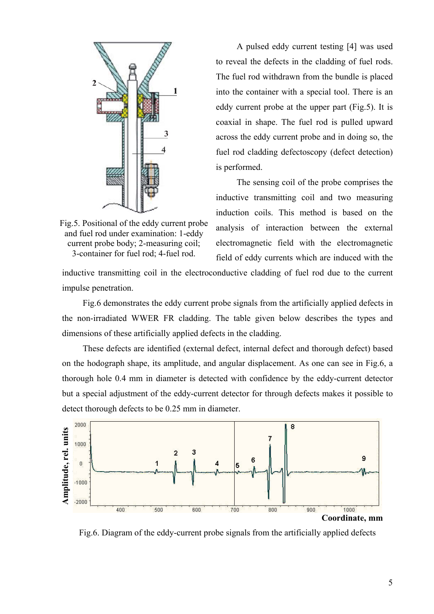

Fig.5. Positional of the eddy current probe and fuel rod under examination: 1-eddy current probe body; 2-measuring coil; 3-container for fuel rod; 4-fuel rod.

A pulsed eddy current testing [4] was used to reveal the defects in the cladding of fuel rods. The fuel rod withdrawn from the bundle is placed into the container with a special tool. There is an eddy current probe at the upper part (Fig.5). It is coaxial in shape. The fuel rod is pulled upward across the eddy current probe and in doing so, the fuel rod cladding defectoscopy (defect detection) is performed.

The sensing coil of the probe comprises the inductive transmitting coil and two measuring induction coils. This method is based on the analysis of interaction between the external electromagnetic field with the electromagnetic field of eddy currents which are induced with the

inductive transmitting coil in the electroconductive cladding of fuel rod due to the current impulse penetration.

Fig.6 demonstrates the eddy current probe signals from the artificially applied defects in the non-irradiated WWER FR cladding. The table given below describes the types and dimensions of these artificially applied defects in the cladding.

These defects are identified (external defect, internal defect and thorough defect) based on the hodograph shape, its amplitude, and angular displacement. As one can see in Fig.6, a thorough hole 0.4 mm in diameter is detected with confidence by the eddy-current detector but a special adjustment of the eddy-current detector for through defects makes it possible to detect thorough defects to be 0.25 mm in diameter.



Fig.6. Diagram of the eddy-current probe signals from the artificially applied defects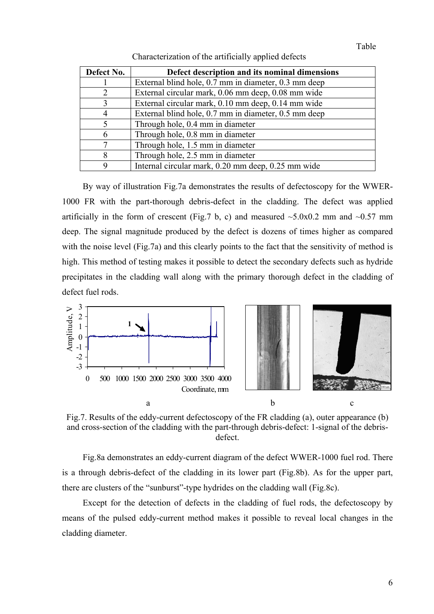| Defect No. | Defect description and its nominal dimensions        |
|------------|------------------------------------------------------|
|            | External blind hole, 0.7 mm in diameter, 0.3 mm deep |
| 2          | External circular mark, 0.06 mm deep, 0.08 mm wide   |
| 3          | External circular mark, 0.10 mm deep, 0.14 mm wide   |
| 4          | External blind hole, 0.7 mm in diameter, 0.5 mm deep |
| 5          | Through hole, 0.4 mm in diameter                     |
| 6          | Through hole, 0.8 mm in diameter                     |
| 7          | Through hole, 1.5 mm in diameter                     |
| 8          | Through hole, 2.5 mm in diameter                     |
| 9          | Internal circular mark, 0.20 mm deep, 0.25 mm wide   |

Characterization of the artificially applied defects

By way of illustration Fig.7a demonstrates the results of defectoscopy for the WWER-1000 FR with the part-thorough debris-defect in the cladding. The defect was applied artificially in the form of crescent (Fig.7 b, c) and measured  $\sim$ 5.0x0.2 mm and  $\sim$ 0.57 mm deep. The signal magnitude produced by the defect is dozens of times higher as compared with the noise level (Fig.7a) and this clearly points to the fact that the sensitivity of method is high. This method of testing makes it possible to detect the secondary defects such as hydride precipitates in the cladding wall along with the primary thorough defect in the cladding of defect fuel rods



Fig.7. Results of the eddy-current defectoscopy of the FR cladding (a), outer appearance (b) and cross-section of the cladding with the part-through debris-defect: 1-signal of the debrisdefect.

Fig.8a demonstrates an eddy-current diagram of the defect WWER-1000 fuel rod. There is a through debris-defect of the cladding in its lower part (Fig.8b). As for the upper part, there are clusters of the "sunburst"-type hydrides on the cladding wall (Fig.8c).

Except for the detection of defects in the cladding of fuel rods, the defectoscopy by means of the pulsed eddy-current method makes it possible to reveal local changes in the cladding diameter.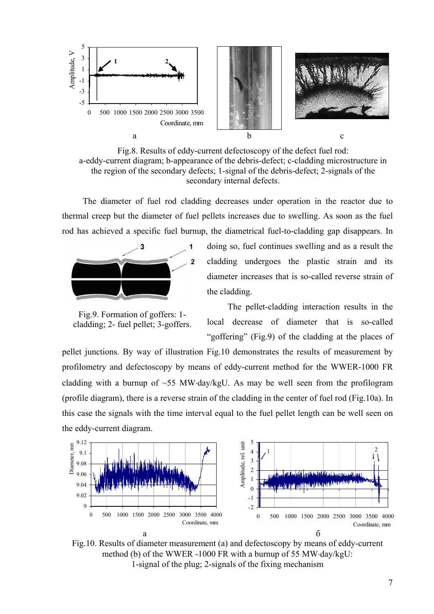

Fig.8. Results of eddy-current defectoscopy of the defect fuel rod: a-eddy-current diagram; b-appearance of the debris-defect; c-cladding microstructure in the region of the secondary defects; 1-signal of the debris-defect; 2-signals of the secondary internal defects.

The diameter of fuel rod cladding decreases under operation in the reactor due to thermal creep but the diameter of fuel pellets increases due to swelling. As soon as the fuel rod has achieved a specific fuel burnup, the diametrical fuel-to-cladding gap disappears. In



Fig.9. Formation of goffers: 1 cladding; 2- fuel pellet; 3-goffers.

doing so, fuel continues swelling and as a result the cladding undergoes the plastic strain and its diameter increases that is so-called reverse strain of the cladding.

The pellet-cladding interaction results in the local decrease of diameter that is so-called "goffering" (Fig.9) of the cladding at the places of

pellet junctions. By way of illustration Fig.10 demonstrates the results of measurement by profilometry and defectoscopy by means of eddy-current method for the WWER-1000 FR cladding with a burnup of ~55 MW⋅day/kgU. As may be well seen from the profilogram (profile diagram), there is a reverse strain of the cladding in the center of fuel rod (Fig.10a). In this case the signals with the time interval equal to the fuel pellet length can be well seen on the eddy-current diagram.



Fig.10. Results of diameter measurement (a) and defectoscopy by means of eddy-current method (b) of the WWER -1000 FR with a burnup of 55 MW⋅day/kgU: 1-signal of the plug; 2-signals of the fixing mechanism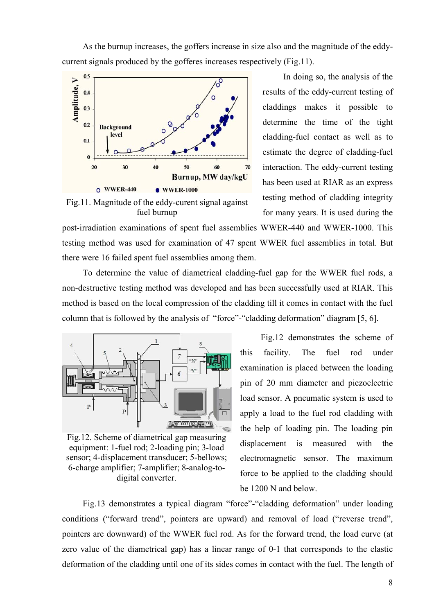As the burnup increases, the goffers increase in size also and the magnitude of the eddycurrent signals produced by the gofferes increases respectively (Fig.11).



Fig.11. Magnitude of the eddy-curent signal against fuel burnup

In doing so, the analysis of the results of the eddy-current testing of claddings makes it possible to determine the time of the tight cladding-fuel contact as well as to estimate the degree of cladding-fuel interaction. The eddy-current testing has been used at RIAR as an express testing method of cladding integrity for many years. It is used during the

post-irradiation examinations of spent fuel assemblies WWER-440 and WWER-1000. This testing method was used for examination of 47 spent WWER fuel assemblies in total. But there were 16 failed spent fuel assemblies among them.

To determine the value of diametrical cladding-fuel gap for the WWER fuel rods, a non-destructive testing method was developed and has been successfully used at RIAR. This method is based on the local compression of the cladding till it comes in contact with the fuel column that is followed by the analysis of "force"-"cladding deformation" diagram [5, 6].



Fig.12. Scheme of diametrical gap measuring equipment: 1-fuel rod; 2-loading pin; 3-load sensor; 4-displacement transducer; 5-bellows; 6-charge amplifier; 7-amplifier; 8-analog-todigital converter.

Fig.12 demonstrates the scheme of this facility. The fuel rod under examination is placed between the loading pin of 20 mm diameter and piezoelectric load sensor. A pneumatic system is used to apply a load to the fuel rod cladding with the help of loading pin. The loading pin displacement is measured with the electromagnetic sensor. The maximum force to be applied to the cladding should be 1200 N and below.

Fig.13 demonstrates a typical diagram "force"-"cladding deformation" under loading conditions ("forward trend", pointers are upward) and removal of load ("reverse trend", pointers are downward) of the WWER fuel rod. As for the forward trend, the load curve (at zero value of the diametrical gap) has a linear range of 0-1 that corresponds to the elastic deformation of the cladding until one of its sides comes in contact with the fuel. The length of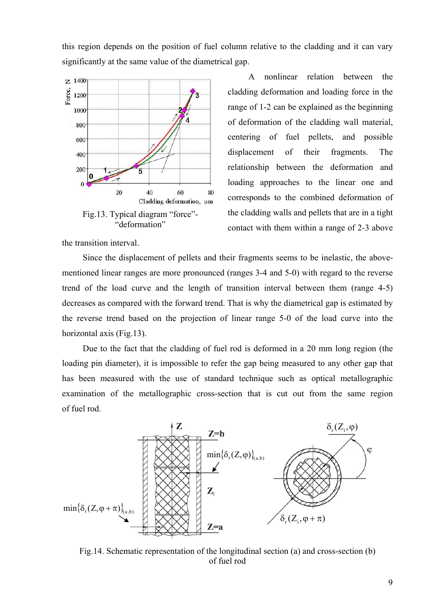this region depends on the position of fuel column relative to the cladding and it can vary significantly at the same value of the diametrical gap.



A nonlinear relation between the cladding deformation and loading force in the range of 1-2 can be explained as the beginning of deformation of the cladding wall material, centering of fuel pellets, and possible displacement of their fragments. The relationship between the deformation and loading approaches to the linear one and corresponds to the combined deformation of the cladding walls and pellets that are in a tight contact with them within a range of 2-3 above

the transition interval.

Since the displacement of pellets and their fragments seems to be inelastic, the abovementioned linear ranges are more pronounced (ranges 3-4 and 5-0) with regard to the reverse trend of the load curve and the length of transition interval between them (range 4-5) decreases as compared with the forward trend. That is why the diametrical gap is estimated by the reverse trend based on the projection of linear range 5-0 of the load curve into the horizontal axis (Fig. 13).

Due to the fact that the cladding of fuel rod is deformed in a 20 mm long region (the loading pin diameter), it is impossible to refer the gap being measured to any other gap that has been measured with the use of standard technique such as optical metallographic examination of the metallographic cross-section that is cut out from the same region of fuel rod.



Fig.14. Schematic representation of the longitudinal section (a) and cross-section (b) of fuel rod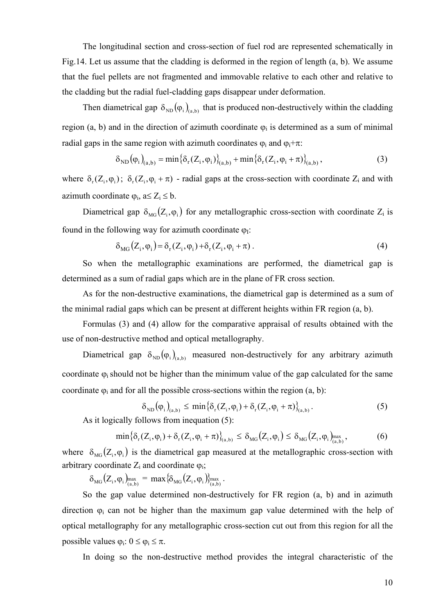The longitudinal section and cross-section of fuel rod are represented schematically in Fig.14. Let us assume that the cladding is deformed in the region of length (а, b). We assume that the fuel pellets are not fragmented and immovable relative to each other and relative to the cladding but the radial fuel-cladding gaps disappear under deformation.

Then diametrical gap  $\delta_{ND}(\varphi_i)_{(a,b)}$  that is produced non-destructively within the cladding region (a, b) and in the direction of azimuth coordinate  $\varphi_i$  is determined as a sum of minimal radial gaps in the same region with azimuth coordinates  $\varphi_i$  and  $\varphi_i+\pi$ .

$$
\delta_{ND}(\varphi_{i})_{(a,b)} = \min \{ \delta_{r}(Z_{i}, \varphi_{i}) \}_{(a,b)} + \min \{ \delta_{r}(Z_{i}, \varphi_{i} + \pi) \}_{(a,b)},
$$
(3)

where  $\delta_r(Z_i, \varphi_i)$ ;  $\delta_r(Z_i, \varphi_i + \pi)$  - radial gaps at the cross-section with coordinate  $Z_i$  and with azimuth coordinate  $\varphi_i$ , a $\leq Z_i \leq b$ .

Diametrical gap  $\delta_{MG}(Z_i, \varphi_i)$  for any metallographic cross-section with coordinate  $Z_i$  is found in the following way for azimuth coordinate  $\varphi$ <sup>1</sup>:

$$
\delta_{\text{MG}}(Z_i, \varphi_i) = \delta_r(Z_i, \varphi_i) + \delta_r(Z_i, \varphi_i + \pi) \,. \tag{4}
$$

So when the metallographic examinations are performed, the diametrical gap is determined as a sum of radial gaps which are in the plane of FR cross section.

As for the non-destructive examinations, the diametrical gap is determined as a sum of the minimal radial gaps which can be present at different heights within FR region (a, b).

Formulas (3) and (4) allow for the comparative appraisal of results obtained with the use of non-destructive method and optical metallography.

Diametrical gap  $\delta_{ND}(\varphi_i)_{(a,b)}$  measured non-destructively for any arbitrary azimuth coordinate  $\varphi_i$  should not be higher than the minimum value of the gap calculated for the same coordinate  $\varphi_i$  and for all the possible cross-sections within the region  $(a, b)$ :

$$
\delta_{\text{ND}}(\varphi_i)_{(a,b)} \leq \min \{ \delta_r(Z_i, \varphi_i) + \delta_r(Z_i, \varphi_i + \pi) \}_{(a,b)}.
$$
 (5)

As it logically follows from inequation (5):

$$
\min \left\{ \delta_{\rm r}(Z_{\rm i},\varphi_{\rm i}) + \delta_{\rm r}(Z_{\rm i},\varphi_{\rm i} + \pi) \right\}_{\rm (a,b)} \leq \delta_{\rm MG}(Z_{\rm i},\varphi_{\rm i}) \leq \delta_{\rm MG}(Z_{\rm i},\varphi_{\rm i})_{\rm (a,b)}^{\rm max},\tag{6}
$$

where  $\delta_{\text{MG}}(Z_i, \varphi_i)$  is the diametrical gap measured at the metallographic cross-section with arbitrary coordinate  $Z_i$  and coordinate  $\varphi_i$ ;

 $\delta_{\text{MG}}(Z_{i}, \varphi_{i})_{\text{max}}^{\text{max}} = \max \{ \delta_{\text{MG}}(Z_{i}, \varphi_{i}) \}_{\text{max}}^{\text{max}}$ .

So the gap value determined non-destructively for FR region (a, b) and in azimuth direction  $\varphi_i$  can not be higher than the maximum gap value determined with the help of optical metallography for any metallographic cross-section cut out from this region for all the possible values  $\varphi_i$ :  $0 \leq \varphi_i \leq \pi$ .

In doing so the non-destructive method provides the integral characteristic of the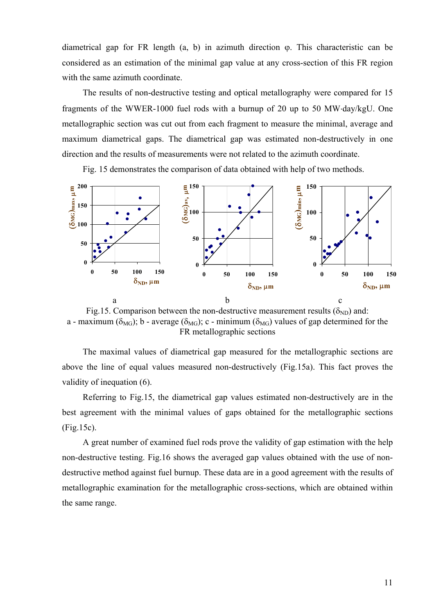diametrical gap for FR length  $(a, b)$  in azimuth direction  $\varphi$ . This characteristic can be considered as an estimation of the minimal gap value at any cross-section of this FR region with the same azimuth coordinate.

The results of non-destructive testing and optical metallography were compared for 15 fragments of the WWER-1000 fuel rods with a burnup of 20 up to 50 MW⋅day/kgU. One metallographic section was cut out from each fragment to measure the minimal, average and maximum diametrical gaps. The diametrical gap was estimated non-destructively in one direction and the results of measurements were not related to the azimuth coordinate.

Fig. 15 demonstrates the comparison of data obtained with help of two methods.



Fig.15. Comparison between the non-destructive measurement results ( $\delta_{ND}$ ) and: a - maximum ( $\delta_{MG}$ ); b - average ( $\delta_{MG}$ ); c - minimum ( $\delta_{MG}$ ) values of gap determined for the FR metallographic sections

The maximal values of diametrical gap measured for the metallographic sections are above the line of equal values measured non-destructively (Fig.15a). This fact proves the validity of inequation (6).

Referring to Fig.15, the diametrical gap values estimated non-destructively are in the best agreement with the minimal values of gaps obtained for the metallographic sections (Fig.15c).

A great number of examined fuel rods prove the validity of gap estimation with the help non-destructive testing. Fig.16 shows the averaged gap values obtained with the use of nondestructive method against fuel burnup. These data are in a good agreement with the results of metallographic examination for the metallographic cross-sections, which are obtained within the same range.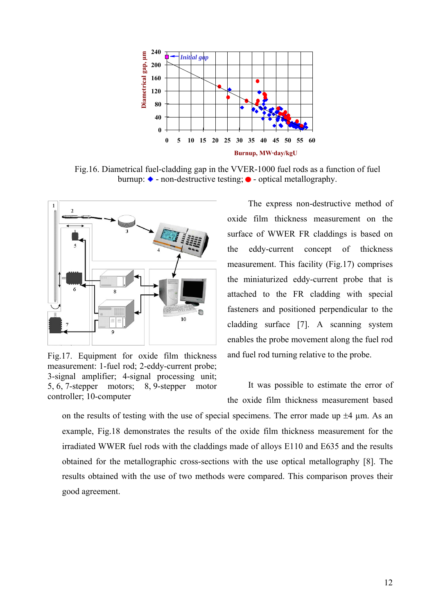

Fig.16. Diametrical fuel-cladding gap in the VVER-1000 fuel rods as a function of fuel burnup:  $\bullet$  - non-destructive testing;  $\bullet$  - optical metallography.



Fig.17. Equipment for oxide film thickness measurement: 1-fuel rod; 2-eddy-current probe; 3-signal amplifier; 4-signal processing unit; 5, 6, 7-stepper motors; 8, 9-stepper motor controller; 10-computer

The express non-destructive method of oxide film thickness measurement on the surface of WWER FR claddings is based on the eddy-current concept of thickness measurement. This facility (Fig.17) comprises the miniaturized eddy-current probe that is attached to the FR cladding with special fasteners and positioned perpendicular to the cladding surface [7]. A scanning system enables the probe movement along the fuel rod and fuel rod turning relative to the probe.

It was possible to estimate the error of the oxide film thickness measurement based

on the results of testing with the use of special specimens. The error made up  $\pm 4$  µm. As an example, Fig.18 demonstrates the results of the oxide film thickness measurement for the irradiated WWER fuel rods with the claddings made of alloys E110 and E635 and the results obtained for the metallographic cross-sections with the use optical metallography [8]. The results obtained with the use of two methods were compared. This comparison proves their good agreement.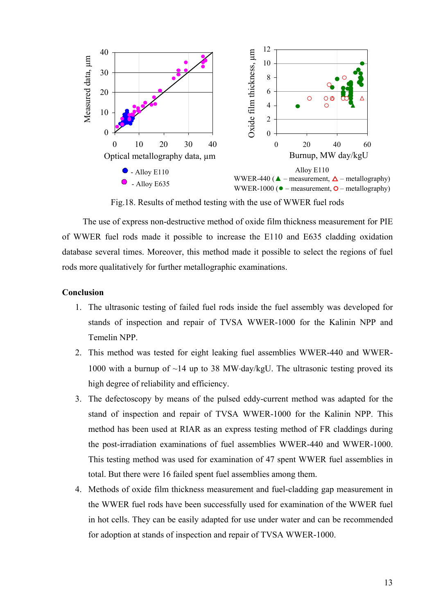

Fig.18. Results of method testing with the use of WWER fuel rods

The use of express non-destructive method of oxide film thickness measurement for PIE of WWER fuel rods made it possible to increase the E110 and E635 cladding oxidation database several times. Moreover, this method made it possible to select the regions of fuel rods more qualitatively for further metallographic examinations.

## **Conclusion**

- 1. The ultrasonic testing of failed fuel rods inside the fuel assembly was developed for stands of inspection and repair of TVSA WWER-1000 for the Kalinin NPP and Temelin NPP.
- 2. This method was tested for eight leaking fuel assemblies WWER-440 and WWER-1000 with a burnup of ~14 up to 38 MW⋅day/kgU. The ultrasonic testing proved its high degree of reliability and efficiency.
- 3. The defectoscopy by means of the pulsed eddy-current method was adapted for the stand of inspection and repair of TVSA WWER-1000 for the Kalinin NPP. This method has been used at RIAR as an express testing method of FR claddings during the post-irradiation examinations of fuel assemblies WWER-440 and WWER-1000. This testing method was used for examination of 47 spent WWER fuel assemblies in total. But there were 16 failed spent fuel assemblies among them.
- 4. Methods of oxide film thickness measurement and fuel-cladding gap measurement in the WWER fuel rods have been successfully used for examination of the WWER fuel in hot cells. They can be easily adapted for use under water and can be recommended